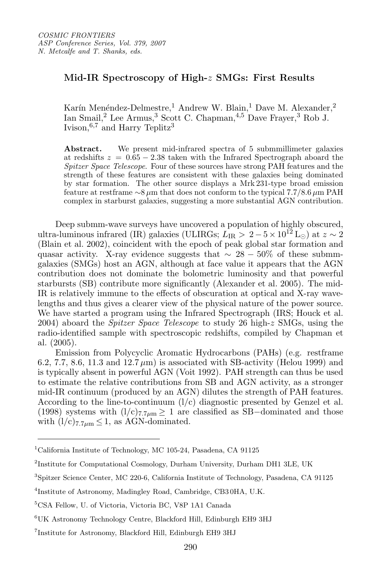## Mid-IR Spectroscopy of High-z SMGs: First Results

Karín Menéndez-Delmestre,<sup>1</sup> Andrew W. Blain,<sup>1</sup> Dave M. Alexander,<sup>2</sup> Ian Smail,<sup>2</sup> Lee Armus,<sup>3</sup> Scott C. Chapman,<sup>4,5</sup> Dave Frayer,<sup>3</sup> Rob J. Ivison,  $6,7$  and Harry Teplitz<sup>3</sup>

Abstract. We present mid-infrared spectra of 5 submmillimeter galaxies at redshifts  $z = 0.65 - 2.38$  taken with the Infrared Spectrograph aboard the Spitzer Space Telescope. Four of these sources have strong PAH features and the strength of these features are consistent with these galaxies being dominated by star formation. The other source displays a Mrk 231-type broad emission feature at restframe  $\sim$ 8 µm that does not conform to the typical 7.7/8.6 µm PAH complex in starburst galaxies, suggesting a more substantial AGN contribution.

Deep submm-wave surveys have uncovered a population of highly obscured, ultra-luminous infrared (IR) galaxies (ULIRGs;  $L_{IR} > 2-5 \times 10^{12}$  L<sub>⊙</sub>) at  $z \sim 2$ (Blain et al. 2002), coincident with the epoch of peak global star formation and quasar activity. X-ray evidence suggests that  $\sim 28 - 50\%$  of these submmgalaxies (SMGs) host an AGN, although at face value it appears that the AGN contribution does not dominate the bolometric luminosity and that powerful starbursts (SB) contribute more significantly (Alexander et al. 2005). The mid-IR is relatively immune to the effects of obscuration at optical and X-ray wavelengths and thus gives a clearer view of the physical nature of the power source. We have started a program using the Infrared Spectrograph (IRS; Houck et al. 2004) aboard the *Spitzer Space Telescope* to study 26 high- $z$  SMGs, using the radio-identified sample with spectroscopic redshifts, compiled by Chapman et al. (2005).

Emission from Polycyclic Aromatic Hydrocarbons (PAHs) (e.g. restframe 6.2, 7.7, 8.6, 11.3 and  $12.7 \mu m$ ) is associated with SB-activity (Helou 1999) and is typically absent in powerful AGN (Voit 1992). PAH strength can thus be used to estimate the relative contributions from SB and AGN activity, as a stronger mid-IR continuum (produced by an AGN) dilutes the strength of PAH features. According to the line-to-continuum  $(l/c)$  diagnostic presented by Genzel et al. (1998) systems with  $(l/c)_{7.7\mu m} \ge 1$  are classified as SB-dominated and those with  $(l/c)_{7.7\mu m} \leq 1$ , as AGN-dominated.

<sup>1</sup>California Institute of Technology, MC 105-24, Pasadena, CA 91125

<sup>2</sup>Institute for Computational Cosmology, Durham University, Durham DH1 3LE, UK

<sup>3</sup>Spitzer Science Center, MC 220-6, California Institute of Technology, Pasadena, CA 91125

<sup>4</sup>Institute of Astronomy, Madingley Road, Cambridge, CB3 0HA, U.K.

<sup>5</sup>CSA Fellow, U. of Victoria, Victoria BC, V8P 1A1 Canada

<sup>6</sup>UK Astronomy Technology Centre, Blackford Hill, Edinburgh EH9 3HJ

<sup>7</sup>Institute for Astronomy, Blackford Hill, Edinburgh EH9 3HJ